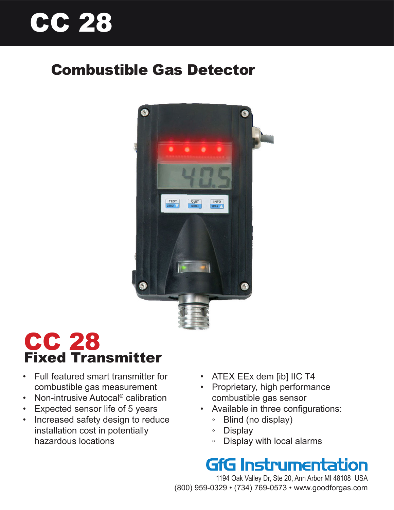# CC 28

### Combustible Gas Detector



## CC 28 Fixed Transmitter

- Full featured smart transmitter for combustible gas measurement
- Non-intrusive Autocal<sup>®</sup> calibration
- Expected sensor life of 5 years
- Increased safety design to reduce installation cost in potentially hazardous locations
- ATEX EEx dem [ib] IIC T4
- Proprietary, high performance combustible gas sensor
- Available in three configurations:
	- Blind (no display)
	- Display
	- Display with local alarms

# **GfG Instrumentation**

1194 Oak Valley Dr, Ste 20, Ann Arbor MI 48108 USA (800) 959-0329 • (734) 769-0573 • www.goodforgas.com